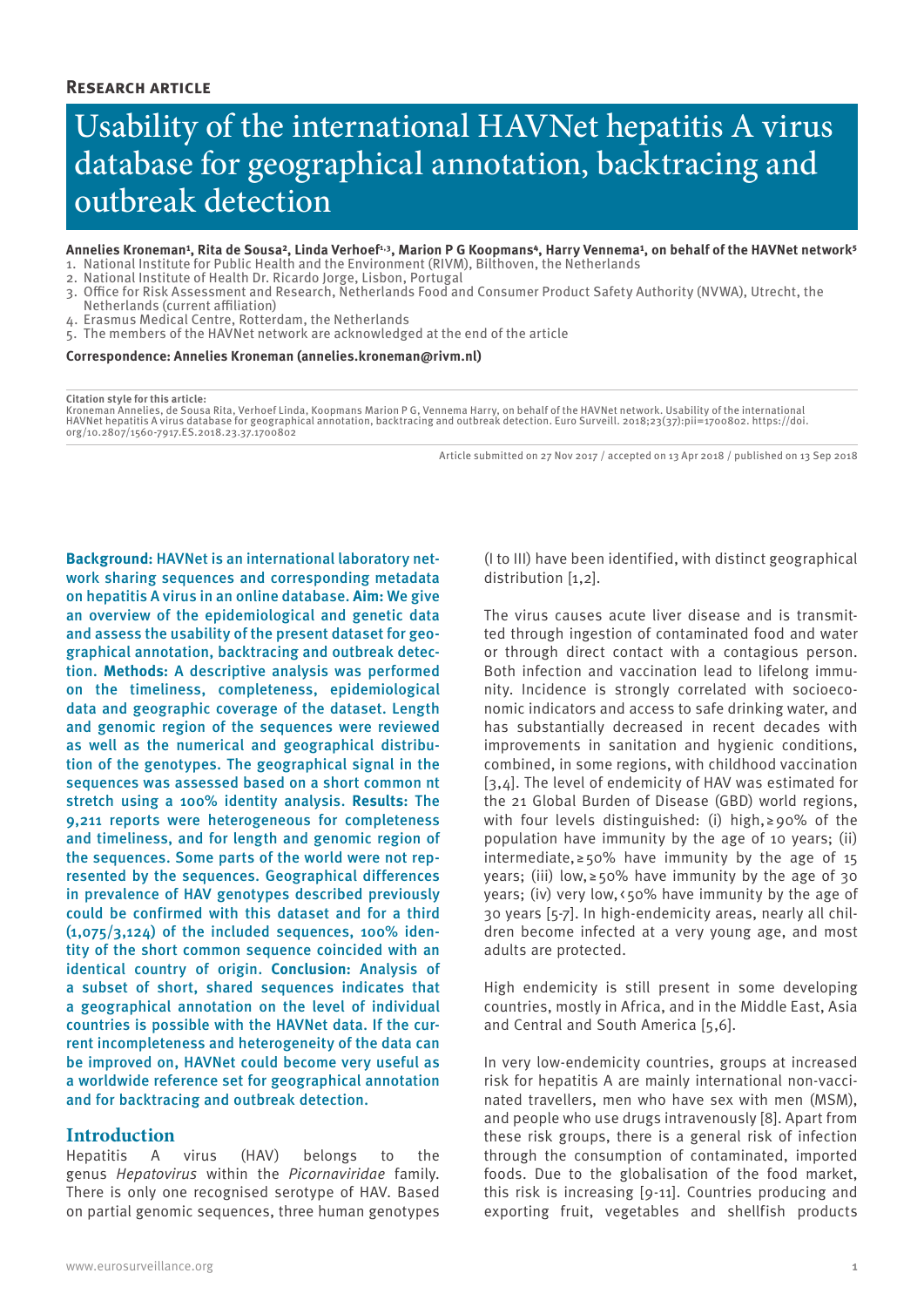# Usability of the international HAVNet hepatitis A virus database for geographical annotation, backtracing and outbreak detection

- Annelies Kroneman<sup>1</sup>, Rita de Sousa<sup>2</sup>, Linda Verhoef<sup>1,3</sup>, Marion P G Koopmans<sup>4</sup>, Harry Vennema<sup>1</sup>, on behalf of the HAVNet network<sup>5</sup> 1. National Institute for Public Health and the Environment (RIVM), Bilthoven, the Netherlands
- 2. National Institute of Health Dr. Ricardo Jorge, Lisbon, Portugal
- 3. Office for Risk Assessment and Research, Netherlands Food and Consumer Product Safety Authority (NVWA), Utrecht, the
- Netherlands (current affiliation) 4. Erasmus Medical Centre, Rotterdam, the Netherlands
- 5. The members of the HAVNet network are acknowledged at the end of the article

**Correspondence: Annelies Kroneman (annelies.kroneman@rivm.nl)**

#### **Citation style for this article:**

Kroneman Annelies, de Sousa Rita, Verhoef Linda, Koopmans Marion P G, Vennema Harry, on behalf of the HAVNet network. Usability of the international<br>HAVNet hepatitis A virus database for geographical annotation, backtracin org/10.2807/1560-7917.ES.2018.23.37.1700802

Article submitted on 27 Nov 2017 / accepted on 13 Apr 2018 / published on 13 Sep 2018

**Background:** HAVNet is an international laboratory network sharing sequences and corresponding metadata on hepatitis A virus in an online database. **Aim:** We give an overview of the epidemiological and genetic data and assess the usability of the present dataset for geographical annotation, backtracing and outbreak detection. **Methods:** A descriptive analysis was performed on the timeliness, completeness, epidemiological data and geographic coverage of the dataset. Length and genomic region of the sequences were reviewed as well as the numerical and geographical distribution of the genotypes. The geographical signal in the sequences was assessed based on a short common nt stretch using a 100% identity analysis. **Results:** The 9,211 reports were heterogeneous for completeness and timeliness, and for length and genomic region of the sequences. Some parts of the world were not represented by the sequences. Geographical differences in prevalence of HAV genotypes described previously could be confirmed with this dataset and for a third  $(1.075/3.124)$  of the included sequences, 100% identity of the short common sequence coincided with an identical country of origin. **Conclusion:** Analysis of a subset of short, shared sequences indicates that a geographical annotation on the level of individual countries is possible with the HAVNet data. If the current incompleteness and heterogeneity of the data can be improved on, HAVNet could become very useful as a worldwide reference set for geographical annotation and for backtracing and outbreak detection.

# **Introduction**

Hepatitis A virus (HAV) belongs to the genus *Hepatovirus* within the *Picornaviridae* family. There is only one recognised serotype of HAV. Based on partial genomic sequences, three human genotypes

(I to III) have been identified, with distinct geographical distribution [1,2].

The virus causes acute liver disease and is transmitted through ingestion of contaminated food and water or through direct contact with a contagious person. Both infection and vaccination lead to lifelong immunity. Incidence is strongly correlated with socioeconomic indicators and access to safe drinking water, and has substantially decreased in recent decades with improvements in sanitation and hygienic conditions, combined, in some regions, with childhood vaccination [3,4]. The level of endemicity of HAV was estimated for the 21 Global Burden of Disease (GBD) world regions, with four levels distinguished: (i) high,  $\geq$  90% of the population have immunity by the age of 10 years; (ii) intermediate,  $\geq 50\%$  have immunity by the age of 15 years; (iii) low,  $\ge$  50% have immunity by the age of 30 years; (iv) very low,<50% have immunity by the age of 30 years [5-7]. In high-endemicity areas, nearly all children become infected at a very young age, and most adults are protected.

High endemicity is still present in some developing countries, mostly in Africa, and in the Middle East, Asia and Central and South America [5,6].

In very low-endemicity countries, groups at increased risk for hepatitis A are mainly international non-vaccinated travellers, men who have sex with men (MSM), and people who use drugs intravenously [8]. Apart from these risk groups, there is a general risk of infection through the consumption of contaminated, imported foods. Due to the globalisation of the food market, this risk is increasing [9-11]. Countries producing and exporting fruit, vegetables and shellfish products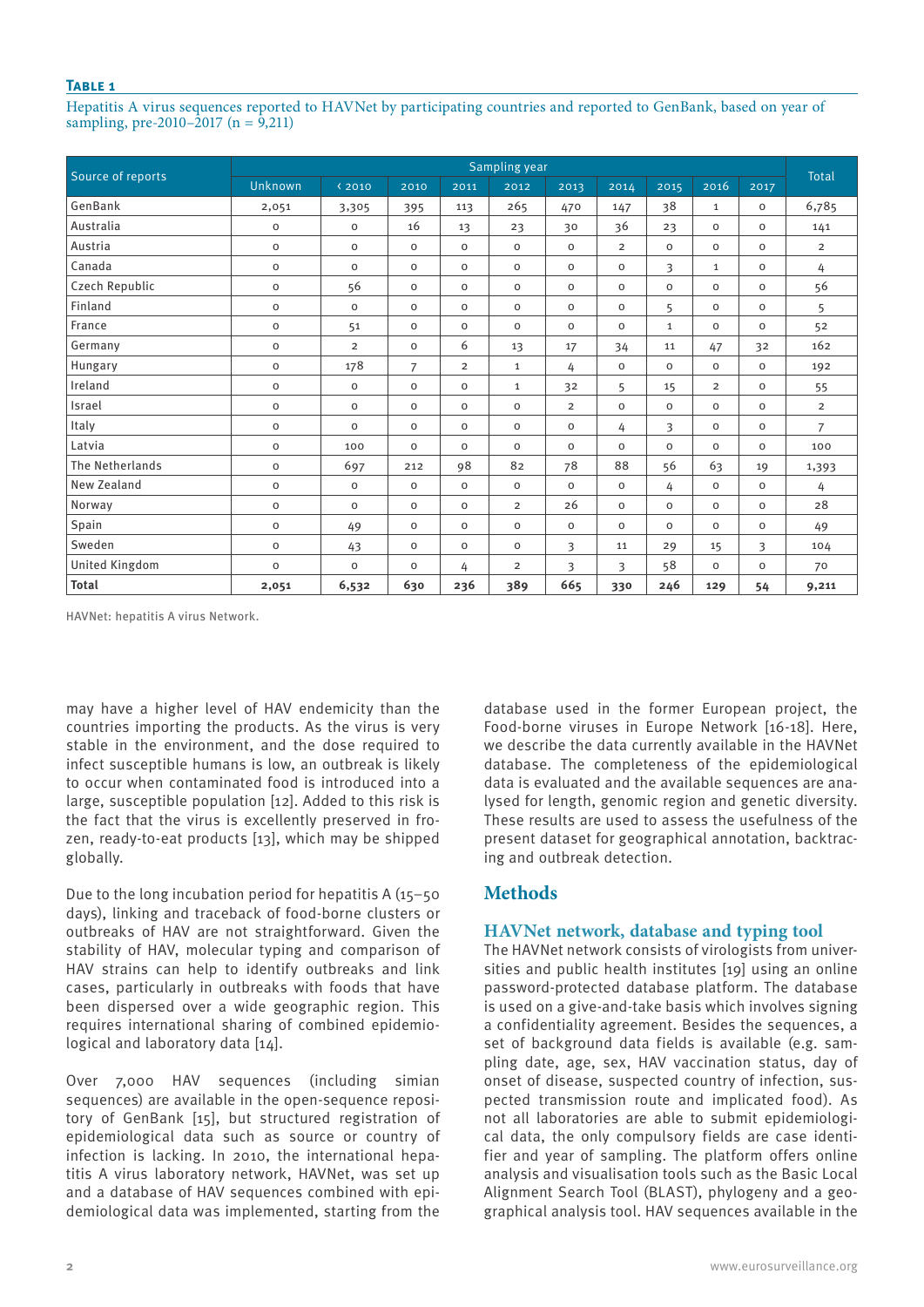## **Table 1**

Hepatitis A virus sequences reported to HAVNet by participating countries and reported to GenBank, based on year of sampling, pre-2010–2017 (n =  $9,211$ )

| Source of reports     | Sampling year       |                     |                |                |                |                |                |              |                |             |                |
|-----------------------|---------------------|---------------------|----------------|----------------|----------------|----------------|----------------|--------------|----------------|-------------|----------------|
|                       | Unknown             | $\langle 2010$      | 2010           | 2011           | 2012           | 2013           | 2014           | 2015         | 2016           | 2017        | <b>Total</b>   |
| GenBank               | 2,051               | 3,305               | 395            | 113            | 265            | 470            | 147            | 38           | $\mathbf{1}$   | $\circ$     | 6,785          |
| Australia             | $\circ$             | $\mathsf O$         | 16             | 13             | 23             | 30             | 36             | 23           | $\mathbf 0$    | $\mathsf O$ | 141            |
| Austria               | $\mathsf{O}\xspace$ | $\mathsf{o}\xspace$ | $\mathsf{o}$   | $\circ$        | $\mathbf 0$    | $\circ$        | $\overline{2}$ | $\mathsf{o}$ | $\circ$        | $\mathbf 0$ | $\overline{2}$ |
| Canada                | $\mathsf{O}\xspace$ | $\mathbf 0$         | $\mathbf 0$    | $\circ$        | $\mathbf 0$    | $\circ$        | 0              | 3            | $\mathbf{1}$   | $\circ$     | 4              |
| Czech Republic        | $\circ$             | 56                  | $\mathbf 0$    | $\circ$        | $\mathbf 0$    | $\circ$        | 0              | $\mathbf 0$  | $\mathbf 0$    | $\mathbf 0$ | 56             |
| Finland               | $\mathsf{o}\xspace$ | $\mathsf{o}\xspace$ | $\circ$        | $\mathbf 0$    | $\mathbf 0$    | $\mathbf 0$    | $\mathbf 0$    | 5            | $\mathbf 0$    | $\mathbf 0$ | 5              |
| France                | $\mathsf{O}\xspace$ | 51                  | $\circ$        | $\circ$        | $\mathsf O$    | $\circ$        | 0              | $\mathbf{1}$ | $\mathbf 0$    | $\circ$     | 52             |
| Germany               | $\circ$             | $\overline{2}$      | $\mathbf 0$    | 6              | 13             | 17             | 34             | 11           | 47             | 32          | 162            |
| Hungary               | $\mathsf{O}\xspace$ | 178                 | $\overline{7}$ | $\overline{2}$ | $\mathbf{1}$   | 4              | $\mathsf O$    | $\mathbf 0$  | $\mathbf 0$    | $\mathbf 0$ | 192            |
| Ireland               | $\mathsf{o}$        | $\mathbf 0$         | $\circ$        | $\circ$        | $\mathbf{1}$   | 32             | 5              | 15           | $\overline{2}$ | $\mathbf 0$ | 55             |
| Israel                | $\mathsf O$         | $\mathsf O$         | $\mathbf 0$    | $\circ$        | $\mathsf O$    | $\overline{2}$ | 0              | $\mathbf 0$  | $\mathbf 0$    | $\mathbf 0$ | $\overline{2}$ |
| Italy                 | $\mathsf{O}\xspace$ | $\mathsf O$         | $\mathbf 0$    | $\circ$        | $\mathsf O$    | $\circ$        | 4              | 3            | $\mathbf 0$    | $\circ$     | $\overline{7}$ |
| Latvia                | $\mathsf{O}\xspace$ | 100                 | $\circ$        | $\mathbf 0$    | $\mathbf 0$    | $\mathbf 0$    | $\mathbf 0$    | $\mathsf{o}$ | $\mathbf 0$    | $\mathbf 0$ | 100            |
| The Netherlands       | $\mathsf{o}$        | 697                 | 212            | 98             | 82             | 78             | 88             | 56           | 63             | 19          | 1,393          |
| <b>New Zealand</b>    | $\mathsf{O}\xspace$ | $\mathsf O$         | $\mathbf 0$    | $\mathbf 0$    | 0              | $\mathbf 0$    | 0              | 4            | $\mathbf 0$    | $\circ$     | 4              |
| Norway                | $\circ$             | $\mathsf O$         | $\mathsf{o}$   | $\circ$        | $\overline{2}$ | 26             | $\mathbf 0$    | $\mathsf{o}$ | $\circ$        | $\mathbf 0$ | 28             |
| Spain                 | $\circ$             | 49                  | $\mathbf 0$    | $\circ$        | $\mathbf 0$    | $\mathbf 0$    | $\mathbf 0$    | $\mathbf 0$  | $\mathbf 0$    | $\mathbf 0$ | 49             |
| Sweden                | $\mathsf{O}\xspace$ | 43                  | $\mathbf 0$    | $\circ$        | $\mathsf O$    | 3              | 11             | 29           | 15             | 3           | 104            |
| <b>United Kingdom</b> | $\mathsf{o}$        | $\mathsf{o}\xspace$ | $\mathbf 0$    | 4              | $\overline{2}$ | 3              | 3              | 58           | $\circ$        | $\mathbf 0$ | 70             |
| <b>Total</b>          | 2,051               | 6,532               | 630            | 236            | 389            | 665            | 330            | 246          | 129            | 54          | 9,211          |

HAVNet: hepatitis A virus Network.

may have a higher level of HAV endemicity than the countries importing the products. As the virus is very stable in the environment, and the dose required to infect susceptible humans is low, an outbreak is likely to occur when contaminated food is introduced into a large, susceptible population [12]. Added to this risk is the fact that the virus is excellently preserved in frozen, ready-to-eat products [13], which may be shipped globally.

Due to the long incubation period for hepatitis A (15–50 days), linking and traceback of food-borne clusters or outbreaks of HAV are not straightforward. Given the stability of HAV, molecular typing and comparison of HAV strains can help to identify outbreaks and link cases, particularly in outbreaks with foods that have been dispersed over a wide geographic region. This requires international sharing of combined epidemiological and laboratory data [14].

Over 7,000 HAV sequences (including simian sequences) are available in the open-sequence repository of GenBank [15], but structured registration of epidemiological data such as source or country of infection is lacking. In 2010, the international hepatitis A virus laboratory network, HAVNet, was set up and a database of HAV sequences combined with epidemiological data was implemented, starting from the database used in the former European project, the Food-borne viruses in Europe Network [16-18]. Here, we describe the data currently available in the HAVNet database. The completeness of the epidemiological data is evaluated and the available sequences are analysed for length, genomic region and genetic diversity. These results are used to assess the usefulness of the present dataset for geographical annotation, backtracing and outbreak detection.

# **Methods**

# **HAVNet network, database and typing tool**

The HAVNet network consists of virologists from universities and public health institutes [19] using an online password-protected database platform. The database is used on a give-and-take basis which involves signing a confidentiality agreement. Besides the sequences, a set of background data fields is available (e.g. sampling date, age, sex, HAV vaccination status, day of onset of disease, suspected country of infection, suspected transmission route and implicated food). As not all laboratories are able to submit epidemiological data, the only compulsory fields are case identifier and year of sampling. The platform offers online analysis and visualisation tools such as the Basic Local Alignment Search Tool (BLAST), phylogeny and a geographical analysis tool. HAV sequences available in the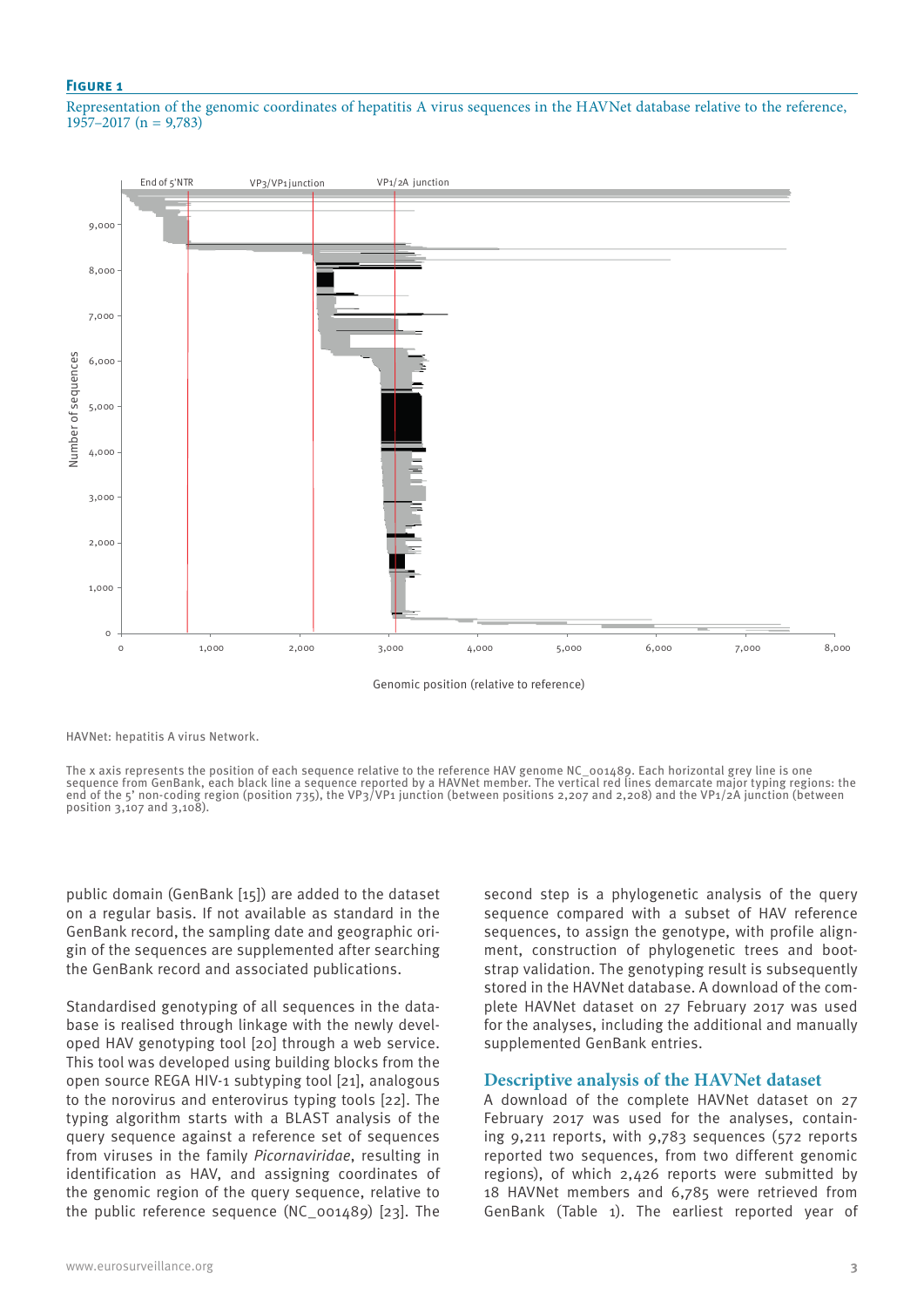#### **Figure 1**

Representation of the genomic coordinates of hepatitis A virus sequences in the HAVNet database relative to the reference, 1957–2017 (n = 9,783)



Genomic position (relative to reference)

HAVNet: hepatitis A virus Network.

The x axis represents the position of each sequence relative to the reference HAV genome NC\_001489. Each horizontal grey line is one sequence from GenBank, each black line a sequence reported by a HAVNet member. The vertical red lines demarcate major typing regions: the end of the 5' non-coding region (position 735), the VP3/VP1 junction (between positions 2,207 and 2,208) and the VP1/2A junction (between position 3,107 and 3,108).

public domain (GenBank [15]) are added to the dataset on a regular basis. If not available as standard in the GenBank record, the sampling date and geographic origin of the sequences are supplemented after searching the GenBank record and associated publications.

Standardised genotyping of all sequences in the database is realised through linkage with the newly developed HAV genotyping tool [20] through a web service. This tool was developed using building blocks from the open source REGA HIV-1 subtyping tool [21], analogous to the norovirus and enterovirus typing tools [22]. The typing algorithm starts with a BLAST analysis of the query sequence against a reference set of sequences from viruses in the family *Picornaviridae*, resulting in identification as HAV, and assigning coordinates of the genomic region of the query sequence, relative to the public reference sequence (NC\_001489) [23]. The

second step is a phylogenetic analysis of the query sequence compared with a subset of HAV reference sequences, to assign the genotype, with profile alignment, construction of phylogenetic trees and bootstrap validation. The genotyping result is subsequently stored in the HAVNet database. A download of the complete HAVNet dataset on 27 February 2017 was used for the analyses, including the additional and manually supplemented GenBank entries.

#### **Descriptive analysis of the HAVNet dataset**

A download of the complete HAVNet dataset on 27 February 2017 was used for the analyses, containing 9,211 reports, with 9,783 sequences (572 reports reported two sequences, from two different genomic regions), of which 2,426 reports were submitted by 18 HAVNet members and 6,785 were retrieved from GenBank (Table 1). The earliest reported year of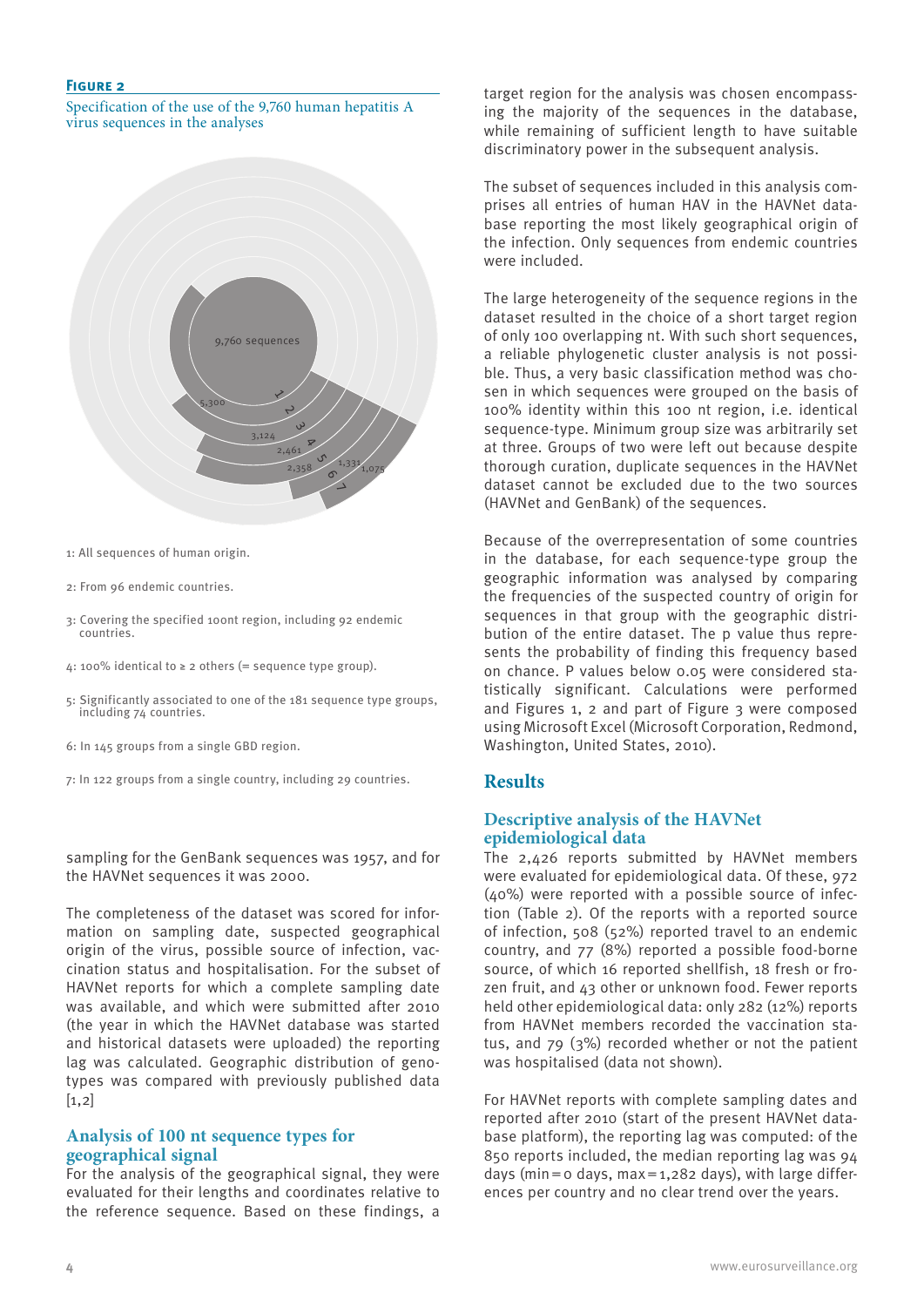## **Figure 2**

Specification of the use of the 9,760 human hepatitis A virus sequences in the analyses



- 1: All sequences of human origin.
- 2: From 96 endemic countries.
- 3: Covering the specified 100nt region, including 92 endemic countries.
- 4: 100% identical to ≥ 2 others (= sequence type group).
- 5: Significantly associated to one of the 181 sequence type groups, including 74 countries.
- 6: In 145 groups from a single GBD region.
- 7: In 122 groups from a single country, including 29 countries.

sampling for the GenBank sequences was 1957, and for the HAVNet sequences it was 2000.

The completeness of the dataset was scored for information on sampling date, suspected geographical origin of the virus, possible source of infection, vaccination status and hospitalisation. For the subset of HAVNet reports for which a complete sampling date was available, and which were submitted after 2010 (the year in which the HAVNet database was started and historical datasets were uploaded) the reporting lag was calculated. Geographic distribution of genotypes was compared with previously published data  $[1,2]$ 

## **Analysis of 100 nt sequence types for geographical signal**

For the analysis of the geographical signal, they were evaluated for their lengths and coordinates relative to the reference sequence. Based on these findings, a target region for the analysis was chosen encompassing the majority of the sequences in the database, while remaining of sufficient length to have suitable discriminatory power in the subsequent analysis.

The subset of sequences included in this analysis comprises all entries of human HAV in the HAVNet database reporting the most likely geographical origin of the infection. Only sequences from endemic countries were included.

The large heterogeneity of the sequence regions in the dataset resulted in the choice of a short target region of only 100 overlapping nt. With such short sequences, a reliable phylogenetic cluster analysis is not possible. Thus, a very basic classification method was chosen in which sequences were grouped on the basis of 100% identity within this 100 nt region, i.e. identical sequence-type. Minimum group size was arbitrarily set at three. Groups of two were left out because despite thorough curation, duplicate sequences in the HAVNet dataset cannot be excluded due to the two sources (HAVNet and GenBank) of the sequences.

Because of the overrepresentation of some countries in the database, for each sequence-type group the geographic information was analysed by comparing the frequencies of the suspected country of origin for sequences in that group with the geographic distribution of the entire dataset. The p value thus represents the probability of finding this frequency based on chance. P values below 0.05 were considered statistically significant. Calculations were performed and Figures 1, 2 and part of Figure 3 were composed using Microsoft Excel (Microsoft Corporation, Redmond, Washington, United States, 2010).

# **Results**

## **Descriptive analysis of the HAVNet epidemiological data**

The 2,426 reports submitted by HAVNet members were evaluated for epidemiological data. Of these, 972 (40%) were reported with a possible source of infection (Table 2). Of the reports with a reported source of infection, 508 (52%) reported travel to an endemic country, and 77 (8%) reported a possible food-borne source, of which 16 reported shellfish, 18 fresh or frozen fruit, and 43 other or unknown food. Fewer reports held other epidemiological data: only 282 (12%) reports from HAVNet members recorded the vaccination status, and 79 (3%) recorded whether or not the patient was hospitalised (data not shown).

For HAVNet reports with complete sampling dates and reported after 2010 (start of the present HAVNet database platform), the reporting lag was computed: of the 850 reports included, the median reporting lag was 94 days (min =  $\circ$  days, max = 1,282 days), with large differences per country and no clear trend over the years.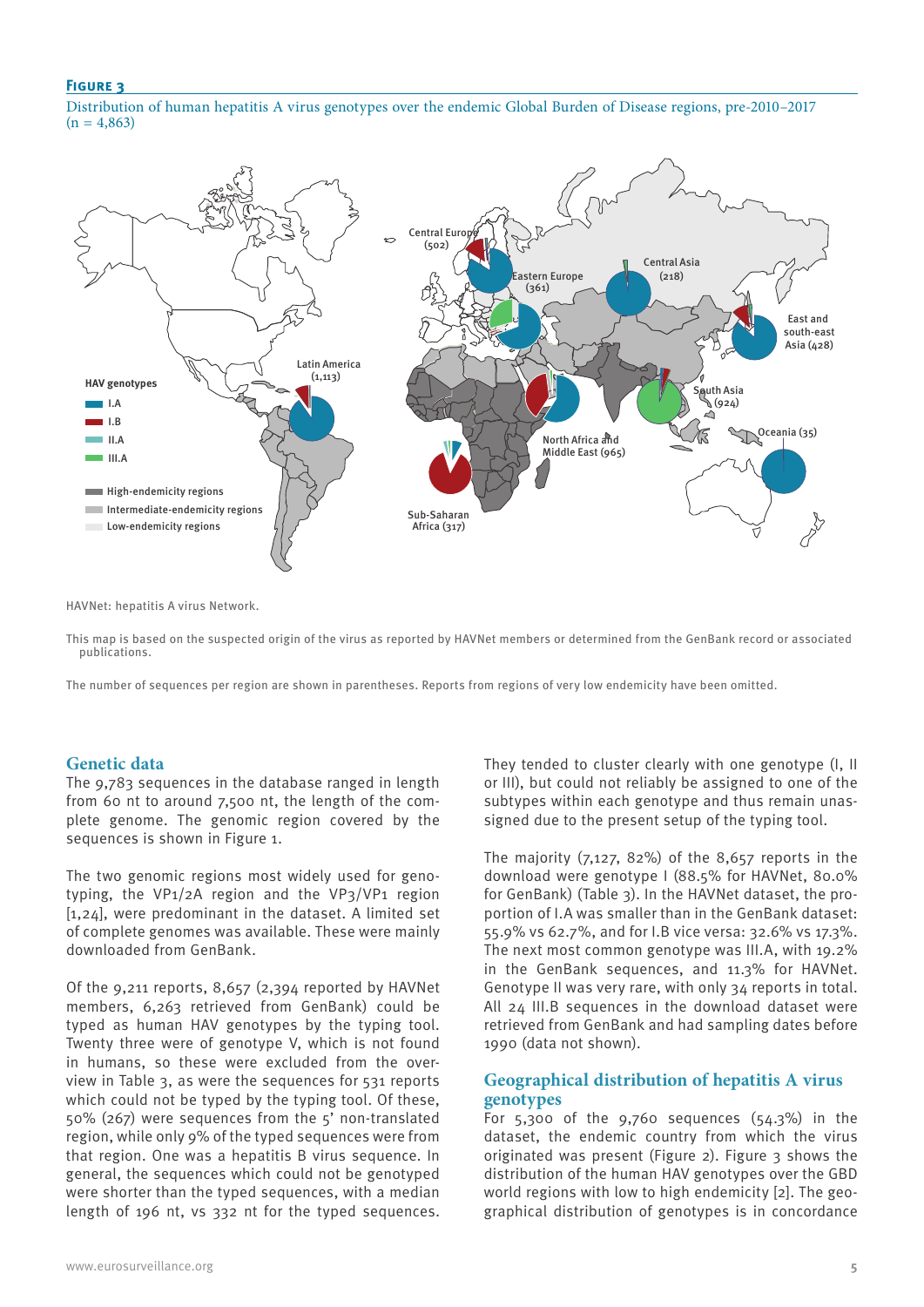## **Figure 3**

Distribution of human hepatitis A virus genotypes over the endemic Global Burden of Disease regions, pre-2010–2017  $(n = 4,863)$ 



HAVNet: hepatitis A virus Network.

This map is based on the suspected origin of the virus as reported by HAVNet members or determined from the GenBank record or associated publications.

The number of sequences per region are shown in parentheses. Reports from regions of very low endemicity have been omitted.

# **Genetic data**

The 9,783 sequences in the database ranged in length from 60 nt to around 7,500 nt, the length of the complete genome. The genomic region covered by the sequences is shown in Figure 1.

The two genomic regions most widely used for genotyping, the VP1/2A region and the VP3/VP1 region [1,24], were predominant in the dataset. A limited set of complete genomes was available. These were mainly downloaded from GenBank.

Of the 9,211 reports, 8,657 (2,394 reported by HAVNet members, 6,263 retrieved from GenBank) could be typed as human HAV genotypes by the typing tool. Twenty three were of genotype V, which is not found in humans, so these were excluded from the overview in Table 3, as were the sequences for 531 reports which could not be typed by the typing tool. Of these, 50% (267) were sequences from the 5' non-translated region, while only 9% of the typed sequences were from that region. One was a hepatitis B virus sequence. In general, the sequences which could not be genotyped were shorter than the typed sequences, with a median length of 196 nt, vs 332 nt for the typed sequences. They tended to cluster clearly with one genotype (I, II or III), but could not reliably be assigned to one of the subtypes within each genotype and thus remain unassigned due to the present setup of the typing tool.

The majority  $(7,127, 82%)$  of the 8,657 reports in the download were genotype I (88.5% for HAVNet, 80.0% for GenBank) (Table 3). In the HAVNet dataset, the proportion of I.A was smaller than in the GenBank dataset: 55.9% vs 62.7%, and for I.B vice versa: 32.6% vs 17.3%. The next most common genotype was III.A, with 19.2% in the GenBank sequences, and 11.3% for HAVNet. Genotype II was very rare, with only 34 reports in total. All 24 III.B sequences in the download dataset were retrieved from GenBank and had sampling dates before 1990 (data not shown).

# **Geographical distribution of hepatitis A virus genotypes**

For  $5,300$  of the  $9,760$  sequences  $(54.3%)$  in the dataset, the endemic country from which the virus originated was present (Figure 2). Figure 3 shows the distribution of the human HAV genotypes over the GBD world regions with low to high endemicity [2]. The geographical distribution of genotypes is in concordance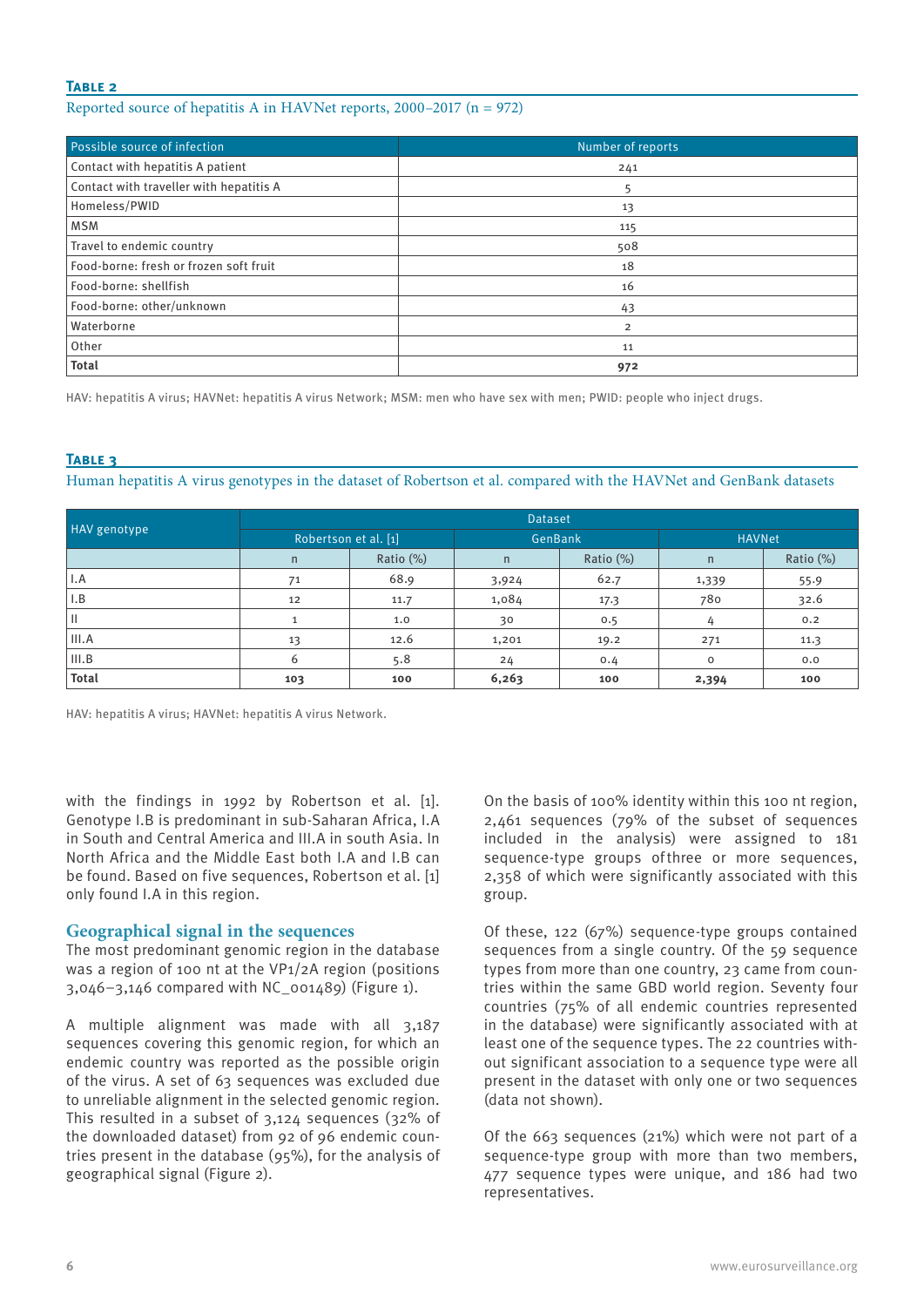## **Table 2**

## Reported source of hepatitis A in HAVNet reports,  $2000-2017$  (n = 972)

| Possible source of infection            | Number of reports |
|-----------------------------------------|-------------------|
| Contact with hepatitis A patient        | 241               |
| Contact with traveller with hepatitis A |                   |
| Homeless/PWID                           | 13                |
| <b>MSM</b>                              | 115               |
| Travel to endemic country               | 508               |
| Food-borne: fresh or frozen soft fruit  | 18                |
| Food-borne: shellfish                   | 16                |
| Food-borne: other/unknown               | 43                |
| Waterborne                              | $\overline{2}$    |
| Other                                   | 11                |
| <b>Total</b>                            | 972               |

HAV: hepatitis A virus; HAVNet: hepatitis A virus Network; MSM: men who have sex with men; PWID: people who inject drugs.

## **Table 3**

Human hepatitis A virus genotypes in the dataset of Robertson et al. compared with the HAVNet and GenBank datasets

|              | <b>Dataset</b>       |           |         |           |               |           |  |  |
|--------------|----------------------|-----------|---------|-----------|---------------|-----------|--|--|
| HAV genotype | Robertson et al. [1] |           | GenBank |           | <b>HAVNet</b> |           |  |  |
|              | n                    | Ratio (%) | n       | Ratio (%) | n             | Ratio (%) |  |  |
| I.A          | 71                   | 68.9      | 3,924   | 62.7      | 1,339         | 55.9      |  |  |
| I.B          | 12                   | 11.7      | 1,084   | 17.3      | 780           | 32.6      |  |  |
| Ш            |                      | 1.0       | 30      | 0.5       | 4             | 0.2       |  |  |
| III.A        | 13                   | 12.6      | 1,201   | 19.2      | 271           | 11.3      |  |  |
| III.B        | 6                    | 5.8       | 24      | 0.4       | $\circ$       | 0.0       |  |  |
| <b>Total</b> | 103                  | 100       | 6,263   | 100       | 2,394         | 100       |  |  |

HAV: hepatitis A virus; HAVNet: hepatitis A virus Network.

with the findings in 1992 by Robertson et al. [1]. Genotype I.B is predominant in sub-Saharan Africa, I.A in South and Central America and III.A in south Asia. In North Africa and the Middle East both I.A and I.B can be found. Based on five sequences, Robertson et al. [1] only found I.A in this region.

## **Geographical signal in the sequences**

The most predominant genomic region in the database was a region of 100 nt at the VP1/2A region (positions 3,046–3,146 compared with NC\_001489) (Figure 1).

A multiple alignment was made with all 3,187 sequences covering this genomic region, for which an endemic country was reported as the possible origin of the virus. A set of 63 sequences was excluded due to unreliable alignment in the selected genomic region. This resulted in a subset of 3,124 sequences (32% of the downloaded dataset) from 92 of 96 endemic countries present in the database (95%), for the analysis of geographical signal (Figure 2).

On the basis of 100% identity within this 100 nt region, 2,461 sequences (79% of the subset of sequences included in the analysis) were assigned to 181 sequence-type groups ofthree or more sequences, 2,358 of which were significantly associated with this group.

Of these, 122 (67%) sequence-type groups contained sequences from a single country. Of the 59 sequence types from more than one country, 23 came from countries within the same GBD world region. Seventy four countries (75% of all endemic countries represented in the database) were significantly associated with at least one of the sequence types. The 22 countries without significant association to a sequence type were all present in the dataset with only one or two sequences (data not shown).

Of the 663 sequences (21%) which were not part of a sequence-type group with more than two members, 477 sequence types were unique, and 186 had two representatives.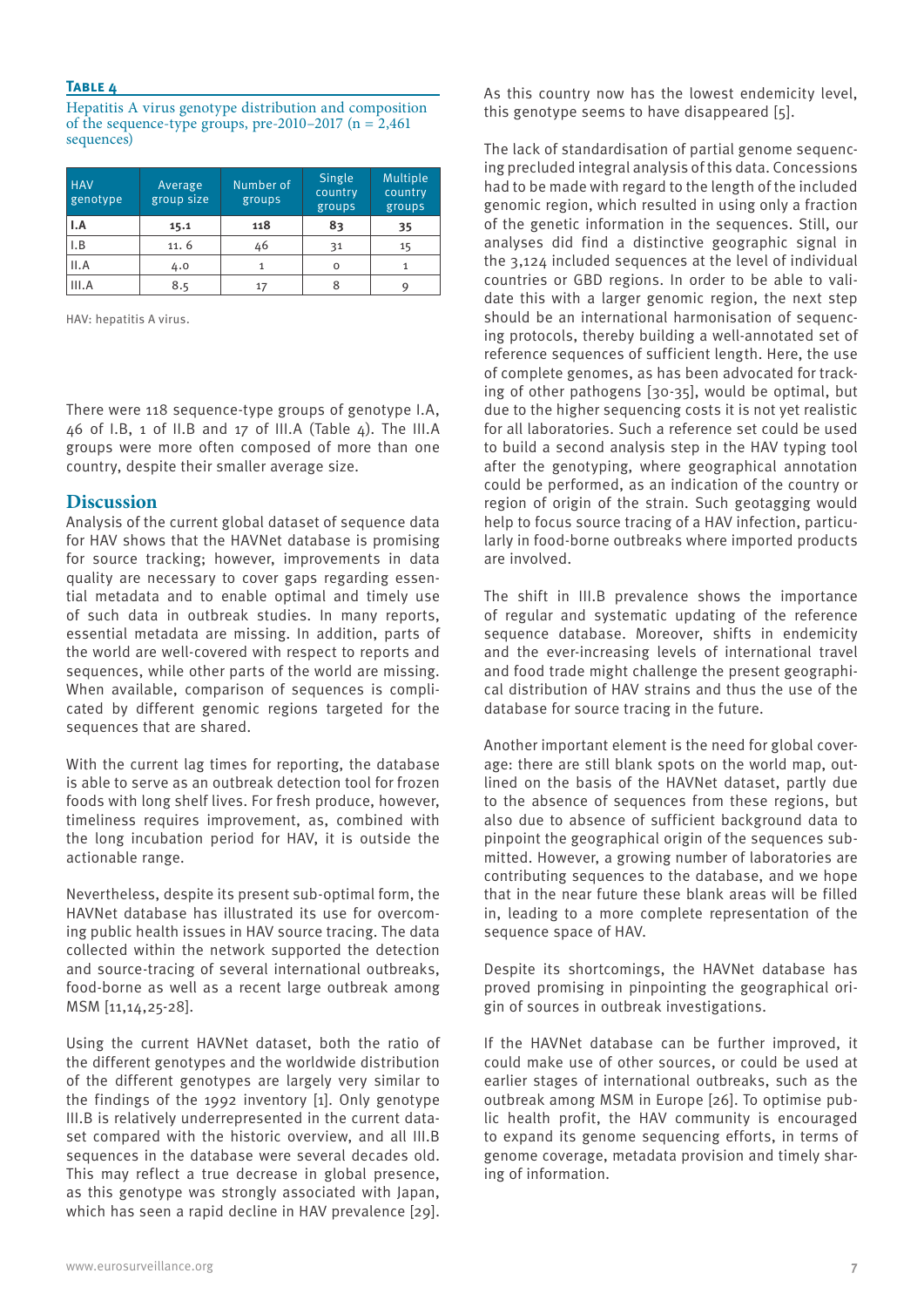## **Table 4**

Hepatitis A virus genotype distribution and composition of the sequence-type groups, pre-2010–2017 ( $n = 2,461$ ) sequences)

| <b>HAV</b><br>genotype | Average<br>group size | Number of<br>groups | Single<br>country<br>groups | Multiple<br>country<br>groups |  |
|------------------------|-----------------------|---------------------|-----------------------------|-------------------------------|--|
| I.A                    | 15.1                  | 118                 | 83                          | 35                            |  |
| I.B                    | 11.6                  | 46                  | 31                          | 15                            |  |
| II.A                   | 4.0                   |                     | O                           |                               |  |
| III.A                  | 8.5                   | 17                  | 8                           |                               |  |

HAV: hepatitis A virus.

There were 118 sequence-type groups of genotype I.A, 46 of I.B, 1 of II.B and 17 of III.A (Table 4). The III.A groups were more often composed of more than one country, despite their smaller average size.

# **Discussion**

Analysis of the current global dataset of sequence data for HAV shows that the HAVNet database is promising for source tracking; however, improvements in data quality are necessary to cover gaps regarding essential metadata and to enable optimal and timely use of such data in outbreak studies. In many reports, essential metadata are missing. In addition, parts of the world are well-covered with respect to reports and sequences, while other parts of the world are missing. When available, comparison of sequences is complicated by different genomic regions targeted for the sequences that are shared.

With the current lag times for reporting, the database is able to serve as an outbreak detection tool for frozen foods with long shelf lives. For fresh produce, however, timeliness requires improvement, as, combined with the long incubation period for HAV, it is outside the actionable range.

Nevertheless, despite its present sub-optimal form, the HAVNet database has illustrated its use for overcoming public health issues in HAV source tracing. The data collected within the network supported the detection and source-tracing of several international outbreaks, food-borne as well as a recent large outbreak among MSM [11,14,25-28].

Using the current HAVNet dataset, both the ratio of the different genotypes and the worldwide distribution of the different genotypes are largely very similar to the findings of the 1992 inventory [1]. Only genotype III.B is relatively underrepresented in the current dataset compared with the historic overview, and all III.B sequences in the database were several decades old. This may reflect a true decrease in global presence, as this genotype was strongly associated with Japan, which has seen a rapid decline in HAV prevalence [29].

As this country now has the lowest endemicity level, this genotype seems to have disappeared [5].

The lack of standardisation of partial genome sequencing precluded integral analysis of this data. Concessions had to be made with regard to the length of the included genomic region, which resulted in using only a fraction of the genetic information in the sequences. Still, our analyses did find a distinctive geographic signal in the 3,124 included sequences at the level of individual countries or GBD regions. In order to be able to validate this with a larger genomic region, the next step should be an international harmonisation of sequencing protocols, thereby building a well-annotated set of reference sequences of sufficient length. Here, the use of complete genomes, as has been advocated for tracking of other pathogens [30-35], would be optimal, but due to the higher sequencing costs it is not yet realistic for all laboratories. Such a reference set could be used to build a second analysis step in the HAV typing tool after the genotyping, where geographical annotation could be performed, as an indication of the country or region of origin of the strain. Such geotagging would help to focus source tracing of a HAV infection, particularly in food-borne outbreaks where imported products are involved.

The shift in III.B prevalence shows the importance of regular and systematic updating of the reference sequence database. Moreover, shifts in endemicity and the ever-increasing levels of international travel and food trade might challenge the present geographical distribution of HAV strains and thus the use of the database for source tracing in the future.

Another important element is the need for global coverage: there are still blank spots on the world map, outlined on the basis of the HAVNet dataset, partly due to the absence of sequences from these regions, but also due to absence of sufficient background data to pinpoint the geographical origin of the sequences submitted. However, a growing number of laboratories are contributing sequences to the database, and we hope that in the near future these blank areas will be filled in, leading to a more complete representation of the sequence space of HAV.

Despite its shortcomings, the HAVNet database has proved promising in pinpointing the geographical origin of sources in outbreak investigations.

If the HAVNet database can be further improved, it could make use of other sources, or could be used at earlier stages of international outbreaks, such as the outbreak among MSM in Europe [26]. To optimise public health profit, the HAV community is encouraged to expand its genome sequencing efforts, in terms of genome coverage, metadata provision and timely sharing of information.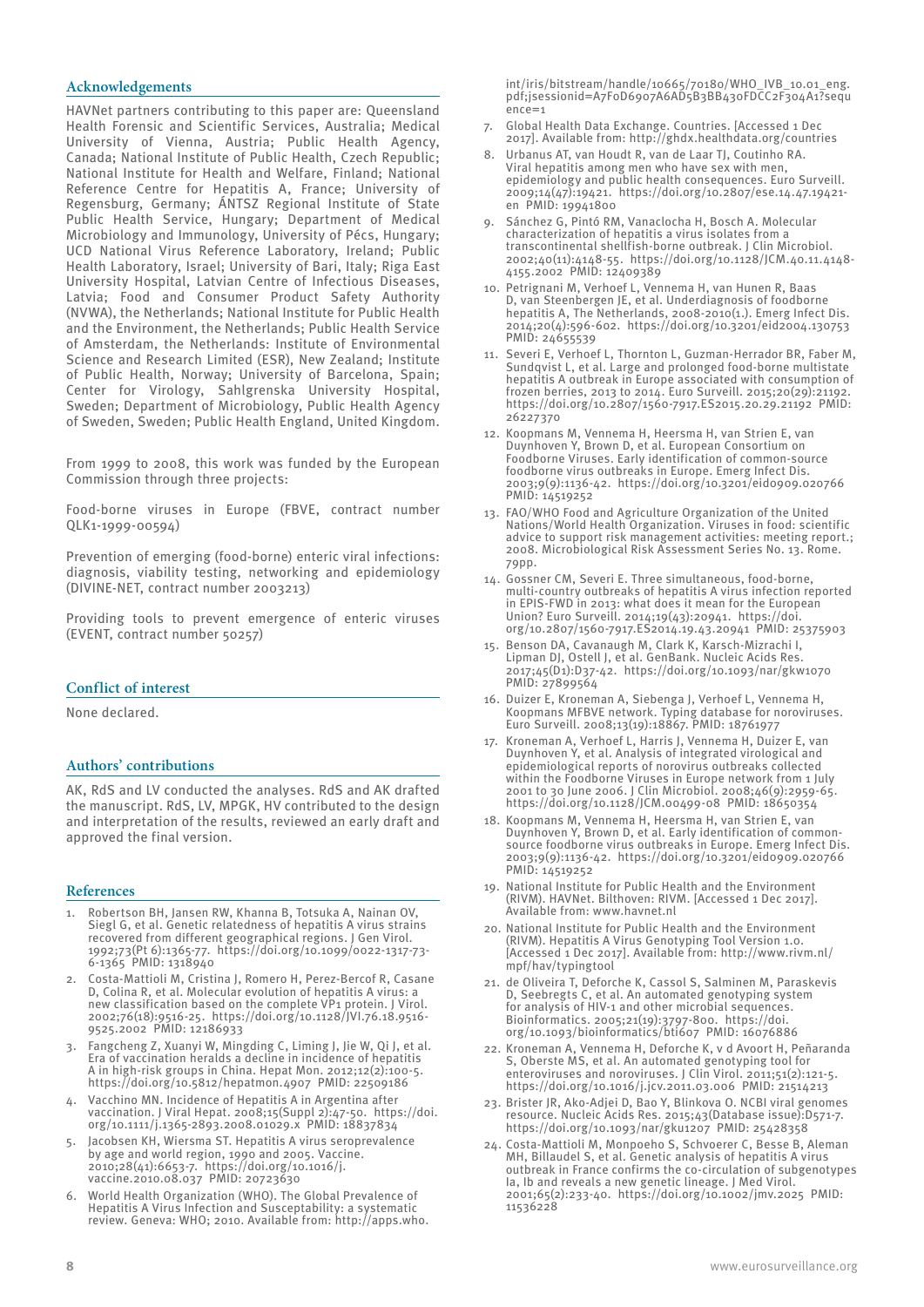#### **Acknowledgements**

HAVNet partners contributing to this paper are: Queensland Health Forensic and Scientific Services, Australia; Medical University of Vienna, Austria; Public Health Agency, Canada; National Institute of Public Health, Czech Republic; National Institute for Health and Welfare, Finland; National Reference Centre for Hepatitis A, France; University of Regensburg, Germany; ÁNTSZ Regional Institute of State Public Health Service, Hungary; Department of Medical Microbiology and Immunology, University of Pécs, Hungary; UCD National Virus Reference Laboratory, Ireland; Public Health Laboratory, Israel; University of Bari, Italy; Riga East University Hospital, Latvian Centre of Infectious Diseases, Latvia; Food and Consumer Product Safety Authority (NVWA), the Netherlands; National Institute for Public Health and the Environment, the Netherlands; Public Health Service of Amsterdam, the Netherlands: Institute of Environmental Science and Research Limited (ESR), New Zealand; Institute of Public Health, Norway; University of Barcelona, Spain; Center for Virology, Sahlgrenska University Hospital, Sweden; Department of Microbiology, Public Health Agency of Sweden, Sweden; Public Health England, United Kingdom.

From 1999 to 2008, this work was funded by the European Commission through three projects:

Food-borne viruses in Europe (FBVE, contract number QLK1-1999-00594)

Prevention of emerging (food-borne) enteric viral infections: diagnosis, viability testing, networking and epidemiology (DIVINE-NET, contract number 2003213)

Providing tools to prevent emergence of enteric viruses (EVENT, contract number 50257)

#### **Conflict of interest**

None declared.

#### **Authors' contributions**

AK, RdS and LV conducted the analyses. RdS and AK drafted the manuscript. RdS, LV, MPGK, HV contributed to the design and interpretation of the results, reviewed an early draft and approved the final version.

#### **References**

- 1. Robertson BH, Jansen RW, Khanna B, Totsuka A, Nainan OV, Siegl G, et al. Genetic relatedness of hepatitis A virus strains recovered from different geographical regions. J Gen Virol. 1992;73(Pt 6):1365-77. https://doi.org/10.1099/0022-1317-73- 6-1365 PMID: 1318940
- 2. Costa-Mattioli M, Cristina J, Romero H, Perez-Bercof R, Casane D, Colina R, et al. Molecular evolution of hepatitis A virus: a new classification based on the complete VP1 protein. J Virol. 2002;76(18):9516-25. https://doi.org/10.1128/JVI.76.18.9516- 9525.2002 PMID: 12186933
- 3. Fangcheng Z, Xuanyi W, Mingding C, Liming J, Jie W, Qi J, et al. Era of vaccination heralds a decline in incidence of hepatitis A in high-risk groups in China. Hepat Mon. 2012;12(2):100-5. https://doi.org/10.5812/hepatmon.4907 PMID: 22509186
- 4. Vacchino MN. Incidence of Hepatitis A in Argentina after vaccination. J Viral Hepat. 2008;15(Suppl 2):47-50. https://doi. org/10.1111/j.1365-2893.2008.01029.x PMID: 18837834
- 5. Jacobsen KH, Wiersma ST. Hepatitis A virus seroprevalence by age and world region, 1990 and 2005. Vaccine. 2010;28(41):6653-7. https://doi.org/10.1016/j. vaccine.2010.08.037 PMID: 20723630
- 6. World Health Organization (WHO). The Global Prevalence of Hepatitis A Virus Infection and Susceptability: a systematic review. Geneva: WHO; 2010. Available from: http://apps.who.

int/iris/bitstream/handle/10665/70180/WHO\_IVB\_10.01\_eng. pdf;jsessionid=A7F0D6907A6AD5B3BB430FDCC2F304A1?sequ  $enc'=-1$ 

- 7. Global Health Data Exchange. Countries. [Accessed 1 Dec 2017]. Available from: http://ghdx.healthdata.org/countries
- 8. Urbanus AT, van Houdt R, van de Laar TJ, Coutinho RA. Viral hepatitis among men who have sex with men, epidemiology and public health consequences. Euro Surveill. 2009;14(47):19421. https://doi.org/10.2807/ese.14.47.19421 en PMID: 19941800
- 9. Sánchez G, Pintó RM, Vanaclocha H, Bosch A. Molecular characterization of hepatitis a virus isolates from a transcontinental shellfish-borne outbreak. J Clin Microbiol. 2002;40(11):4148-55. https://doi.org/10.1128/JCM.40.11.4148- 4155.2002 PMID: 12409389
- 10. Petrignani M, Verhoef L, Vennema H, van Hunen R, Baas D, van Steenbergen JE, et al. Underdiagnosis of foodborne hepatitis A, The Netherlands, 2008-2010(1.). Emerg Infect Dis. 2014;20(4):596-602. https://doi.org/10.3201/eid2004.130753 PMID: 24655539
- 11. Severi E, Verhoef L, Thornton L, Guzman-Herrador BR, Faber M, Sundqvist L, et al. Large and prolonged food-borne multistate hepatitis A outbreak in Europe associated with consumption of frozen berries, 2013 to 2014. Euro Surveill. 2015;20(29):21192. https://doi.org/10.2807/1560-7917.ES2015.20.29.21192 PMID: 26227370
- 12. Koopmans M, Vennema H, Heersma H, van Strien E, van Duynhoven Y, Brown D, et al. European Consortium on Foodborne Viruses. Early identification of common-source foodborne virus outbreaks in Europe. Emerg Infect Dis. 2003;9(9):1136-42. https://doi.org/10.3201/eid0909.020766 PMID: 14519252
- 13. FAO/WHO Food and Agriculture Organization of the United Nations/World Health Organization. Viruses in food: scientific advice to support risk management activities: meeting report.; 2008. Microbiological Risk Assessment Series No. 13. Rome. 79pp.
- 14. Gossner CM, Severi E. Three simultaneous, food-borne, multi-country outbreaks of hepatitis A virus infection reported in EPIS-FWD in 2013: what does it mean for the European Union? Euro Surveill. 2014;19(43):20941. https://doi. org/10.2807/1560-7917.ES2014.19.43.20941 PMID: 25375903
- 15. Benson DA, Cavanaugh M, Clark K, Karsch-Mizrachi I, Lipman DJ, Ostell J, et al. GenBank. Nucleic Acids Res. 2017;45(D1):D37-42. https://doi.org/10.1093/nar/gkw1070 PMID: 27899564
- 16. Duizer E, Kroneman A, Siebenga J, Verhoef L, Vennema H, Koopmans MFBVE network. Typing database for noroviruses. Euro Surveill. 2008;13(19):18867. PMID: 18761977
- 17. Kroneman A, Verhoef L, Harris J, Vennema H, Duizer E, van Duynhoven Y, et al. Analysis of integrated virological and epidemiological reports of norovirus outbreaks collected within the Foodborne Viruses in Europe network from 1 July 2001 to 30 June 2006. J Clin Microbiol. 2008;46(9):2959-65. https://doi.org/10.1128/JCM.00499-08 PMID: 18650354
- 18. Koopmans M, Vennema H, Heersma H, van Strien E, van Duynhoven Y, Brown D, et al. Early identification of commonsource foodborne virus outbreaks in Europe. Emerg Infect Dis. 2003;9(9):1136-42. https://doi.org/10.3201/eid0909.020766 PMID: 14519252
- 19. National Institute for Public Health and the Environment (RIVM). HAVNet. Bilthoven: RIVM. [Accessed 1 Dec 2017]. Available from: www.havnet.nl
- 20. National Institute for Public Health and the Environment (RIVM). Hepatitis A Virus Genotyping Tool Version 1.0. [Accessed 1 Dec 2017]. Available from: http://www.rivm.nl/ mpf/hav/typingtool
- 21. de Oliveira T, Deforche K, Cassol S, Salminen M, Paraskevis D, Seebregts C, et al. An automated genotyping system for analysis of HIV-1 and other microbial sequences. Bioinformatics. 2005;21(19):3797-800. https://doi. org/10.1093/bioinformatics/bti607 PMID: 16076886
- 22. Kroneman A, Vennema H, Deforche K, v d Avoort H, Peñaranda S, Oberste MS, et al. An automated genotyping tool for enteroviruses and noroviruses. J Clin Virol. 2011;51(2):121-5. https://doi.org/10.1016/j.jcv.2011.03.006 PMID: 21514213
- 23. Brister JR, Ako-Adjei D, Bao Y, Blinkova O. NCBI viral genomes resource. Nucleic Acids Res. 2015;43(Database issue):D571-7. https://doi.org/10.1093/nar/gku1207 PMID: 25428358
- 24. Costa-Mattioli M, Monpoeho S, Schvoerer C, Besse B, Aleman MH, Billaudel S, et al. Genetic analysis of hepatitis A virus outbreak in France confirms the co-circulation of subgenotypes Ia, Ib and reveals a new genetic lineage. J Med Virol. 2001;65(2):233-40. https://doi.org/10.1002/jmv.2025 PMID: 11536228